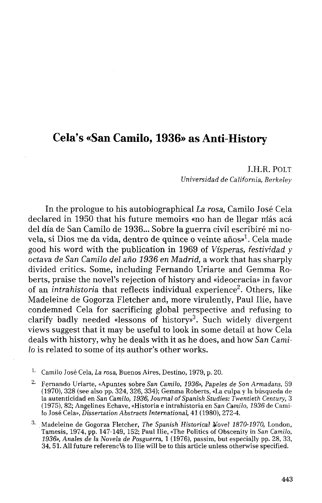## Cela's «San Camilo, 1936» as Anti-History

J.H.R. POLT *Universidad de California, Berkeley* 

In the prologue to his autobiographical *La rosa,* Camilo José Cela declared in 1950 that his future memoirs «no han de llegar nías acá del día de San Camilo de 1936... Sobre la guerra civil escribiré mi novela, si Dios me da vida, dentro de quince o veinte años»<sup>1</sup>. Cela made good his word with the publication in 1969 of Vísperas, *festividad y octava de San Camilo del año 1936 en Madrid,* a work that has sharply divided critics. Some, including Fernando Uriarte and Gemma Roberts, praise the novel's rejection of history and «ideocracia» in favor of an *intrahistoria* that reflects individual experience<sup>2</sup>. Others, like Madeleine de Gogorza Fletcher and, more virulently, Paul Ilie, have condemned Cela for sacrificing global perspective and refusing to clarify badly needed «lessons of history»<sup>3</sup> . Such widely divergent views suggest that it may be useful to look in some detail at how Cela deals with history, why he deals with it as he does, and how San Cami*lo* is related to some of its author's other works.

<sup>1.</sup> Camilo José Cela, *La rosa*, Buenos Aires, Destino, 1979, p. 20.

*¿ -* Fernando Uriarte, «Apuntes sobre San *Camilo, 1936», Papeles de Son Armadans,* 59 (1970), 328 (see also pp. 324, 326, 334); Gemma Roberts, «La culpa y la búsqueda de la autenticidad en San Camilo, 1936, Journal of Spanish Studies: Twentieth Century, 3 (1975), 82; Angelines Echave, «Historia e intrahistoria en San *Camilo, 1936* de Camilo José Cela», *Dissertation Abstraéis International,* 41 (1980), 272-4.

3 - Madeleine. de Gogorza Fletcher, *The Spanish Historical Novel 1870-1970,* London, Tamesis, 1974, pp. 147-149, 152; Paul Ilie, «The Politics of Obscenity in San *Camilo, 1936», Anales de la Novela de Posguerra,* 1 (1976), passim, but especiajly pp. 28, 33, 34, 51. All future referencVs to Ilie will be to this article unless otherwise specified.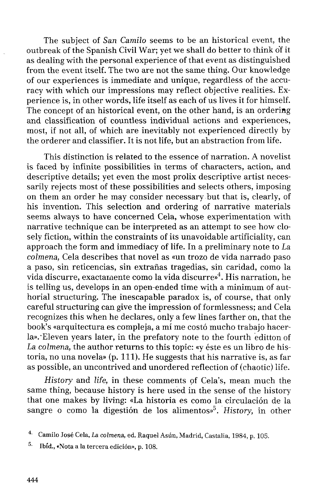The subject of San *Camilo* seems to be an historical event, the outbreak of the Spanish Civil War; yet we shall do better to think of it as dealing with the personal experience of that event as distinguished from the event itself. The two are not the same thing. Our knowledge of our experiences is immediate and unique, regardless of the accuracy with which our impressions may reflect objective realities. Experience is, in other words, life itself as each of us lives it for himself. The concept of an historical event, on the other hand, is an ordering and classification of countless individual actions and experiences, most, if not all, of which are inevitably not experienced directly by the orderer and classifier. It is not life, but an abstraction from life.

This distinction is related to the essence of narration. A novelist is faced by infinite possibilities in terms of characters, action, and descriptive details; yet even the most prolix descriptive artist necessarily rejects most of these possibilities and selects others, imposing on them an order he may consider necessary but that is, clearly, of his invention. This selection and ordering of narrative materials seems always to have concerned Cela, whose experimentation with narrative technique can be interpreted as an attempt to see how closely fiction, within the constraints of its unavoidable artificiality, can approach the form and immediacy of life. In a preliminary note to *La colmena,* Cela describes that novel as «un trozo de vida narrado paso a paso, sin reticencias, sin extrañas tragedias, sin caridad, como la vida discurre, exactamente como la vida discurre»<sup>4</sup>. His narration, he is telling us, develops in an open-ended time with a minimum of authorial structuring. The inescapable paradox is, of course, that only careful structuring can give the impression of formlessness; and Cela recognizes this when he declares, only a few lines farther on, that the book's «arquitectura es compleja, a mí me costó mucho trabajo hacerla».-Eleven years later, in the prefatory note to the fourth editton of *La colmena,* the author returns to this topic: «y éste es un libro de historia, no una novela» (p. 111). He suggests that his narrative is, as far as possible, an uncontrived and unordered reflection of (chaotic) life.

*History* and *life,* in these comments pf Cela's, mean much the same thing, because history is here used in the sense of the history that one makes by living: «La historia es como la circulación de la sangre o como la digestión de los alimentos»<sup>5</sup> . *History,* in other

<sup>4</sup> Camilo José Cela, *La colmena,* ed. Raquel Asún, Madrid, Castalia, 1984, p. 105.

<sup>5</sup> - Ibíd., «Nota a la tercera edición», p. 108.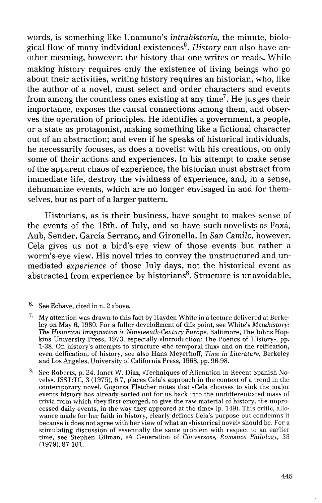words, is something like Unamuno's *intrahistoria,* the minute, biological flow of many individual existences<sup>6</sup>. History can also have another meaning, however: the history that one writes or reads. While making history requires only the existenee of living beings who go about their activities, writing history requires an historian, who, like the author of a novel, must select and order characters and events from among the countless ones existing at any time<sup>7</sup>. He jusges their importance, exposes the causal connections among them, and observes the operation of principies. He identifies a government, a people, or a state as protagonist, making something like a fictional character out of an abstraction; and even if he speaks of historical individuals, he necessarily focuses, as does a novelist with his creations, on only some of their actions and experiences. In his attempt to make sense of the apparent chaos of experience, the historian must abstract from immediate life, destroy the vividness of experience, and, in a sense, dehumanize events, which are no longer envisaged in and for themselves, but as part of a larger pattern.

Historians, as is their business, have sought to makes sense of the events of the 18th. of July, and so have such novelists as Foxá, Aub, Sender, García Serrano, and Gironella. In San *Camilo,* however, Cela gives us not a bird's-eye view of those events but rather a worm's-eye view. His novel tries to convey the unstructured and unmediated *experience* of those July days, not the historical event as abstracted from experience by historians<sup>8</sup>. Structure is unavoidable,

<sup>8.</sup> See Roberts, p. 24. Janet W. Díaz, «Techniques of Alienation in Recent Spanish Novéis», JSST:TC, 3 (1975), 6-7, places Cela's approach in the context of a trend in the contemporary novel. Gogorza Fletcher notes that «Cela chooses to sink the major events history has already sorted out for us back into the undifferentiated mass of trivia from which they first emerged, to give the raw material of history, the unprocessed daily events, in the way they appeared at the time» (p. 149). This critic, allowance made for her faith in history, clearly defines Cela's purpose but condemns it because it does not agree with her view of what an «historical novel» should be. For a stimulating discussion of essentially the same problem with respect to an earlier time, see Stephen Gilman, «A Generation of Conversos», *Romance Philology,* 33 (1979), 87-101.

<sup>6</sup> See Echave, cited in n. 2 above.

 $^{7.} \;$  My attention was drawn to this fact by Hayden White in a lecture delivered at Berkeley on May 6, 1980. For a fuller develoBment of this point, see White's *Metahistory: The Historical Imagination in Nineteenth-Century Europe,* Baltimore, The Johns Hopkins University Press, 1973, especially «Introduction: The Poetics of History», pp. 1-38. On history's attempts to structure «the temporal flux» and on the reification, even deification, of history, see also Hans Meyerhoff, *Time in Literature,* Berkeley and Los Angeles, University of California Press, 1968, pp. 96-98.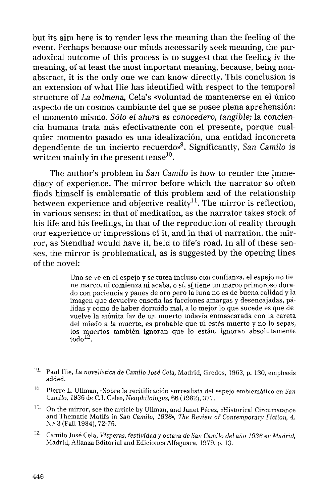but its aim here is to render less the meaning than the feeling of the event. Perhaps because our minds necessarily seek meaning, the paradoxical outcome of this process is to suggest that the feeling *is* the meaning, of at least the most important meaning, because, being nonabstract, it is the only one we can know directly. This conclusion is an extension of what Ilie has identified with respect to the temporal structure of *La colmena,* Cela's «voluntad de mantenerse en el único aspecto de un cosmos cambiante del que se posee plena aprehensión: el momento mismo. *Sólo el ahora es conocedero, tangible;* la conciencia humana trata más efectivamente con el presente, porque cualquier momento pasado es una idealización, una entidad inconcreta dependiente de un incierto recuerdo»<sup>9</sup> . Significantly, *San Camilo* is written mainly in the present tense $^{10}$ .

The author's problem in San *Camilo* is how to render the jmmediacy of experience. The mirror before which the narrator so often finds himself is emblematic of this problem and of the relationship between experience and objective reality<sup>11</sup>. The mirror is reflection, in various senses: in that of meditation, as the narrator takes stock of his life and his feelings, in that of the reproduction of reality through our experience or impressions of it, and in that of narration, the mirror, as Stendhal would have it, held to life's road. In all of these senses, the mirror is problematical, as is suggested by the opening lines of the novel:

> Uno se ve en el espejo y se tutea incluso con confianza, el espejo no tiene marco, ni comienza ni acaba, o sí, sí tiene un marco primoroso dorado con paciencia y panes de oro pero la luna no es de buena calidad y la imagen que devuelve enseña las facciones amargas y desencajadas, pálidas y como de haber dormido mal, a lo mejor lo que sucede es que devuelve la atónita faz de un muerto todavía enmascarada con la careta del miedo a la muerte, es probable que tú estés muerto y no lo sepas; los muertos también ignoran que lo están, ignoran absolutamente  $\text{todo}^{\text{12}}$ .

- 10 Pierre L. Ullman, «Sobre la recitificación surrealista del espejo emblemático en *San Camilo, 1936* de C.J. Cela», *Neophilologus,* 66 (1982), 377.
- $11.$  On the mirror, see the article by Ullman, and Janet Pérez, «Historical Circumstance and Thematic Motifs in San *Camilo, 1936», The Review of Contemporary Fiction,* 4, N.<» 3 (Fall 1984), 72-75.
- <sup>2.</sup> Camilo José Cela, *Vísperas, festividad y octava de San Camilo del año 1936 en Madrid,* Madrid, Alianza Editorial and Ediciones Alfaguara, 1979, p. 13.

<sup>9</sup> - Paul Ilie, *La novelística de Camilo José Cela,* Madrid, Gredos, 1963, p. 130, emphasis added.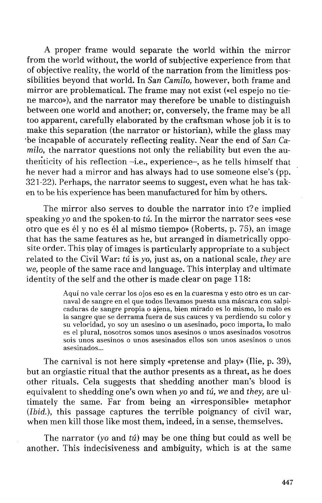A proper frame would separate the world within the mirror from the world without, the world of subjective experience from that of objective reality, the world of the narration from the limitless possibilities beyond that world. In San *Camilo,* however, both frame and mirror are problematical. The frame may not exist («el espejo no tiene marco»), and the narrator may therefore be unable to distinguish between one world and another; or, conversely, the frame may be all too apparent, carefully elaborated by the craftsman whose job it is to make this separation (the narrator or historian), while the glass may "be incapable of accurately reflecting reality. Near the end of San *Camilo,* the narrator questions not only the reliability but even the authenticity of his reflection  $-i.e.,$  experience-, as he tells himself that he never had a mirror and has always had to use someone else's (pp. 321-22). Perhaps, the narrator seems to suggest, even what he has taken to be his experience has been manufactured for him by others.

The mirror also serves to double the narrator into t?e implied speaking *yo* and the spoken-to *tú.* In the mirror the narrator sees «ese otro que es él y no es él al mismo tiempo» (Roberts, p. 75), an image that has the same features as he, but arranged in diametrically opposite order. This play of images is particularly appropriate to a subject related to the Civil War: *tú* is *yo,* just as, on a national scale, *they* are we, people of the same race and language. This interplay and ultímate identity of the self and the other is made clear on page 118:

> Aquí no vale cerrar los ojos eso es en la cuaresma y esto otro es un carnaval de sangre en el que todos llevamos puesta una máscara con salpicaduras de sangre propia o ajena, bien mirado es lo mismo, lo malo es la sangre que se derrama fuera de sus cauces y va perdiendo su color y su velocidad, yo soy un asesino o un asesinado, poco importa, lo malo es el plural, nosotros somos unos asesinos o unos asesinados vosotros sois unos asesinos o unos asesinados ellos son unos asesinos o unos asesinados...

The carnival is not here simply «pretense and play» (Ilie, p. 39), but an orgiastic ritual that the author presents as a threat, as he does other rituals. Cela suggests that shedding another man's blood is equivalent to shedding one's own when *yo* and *tú,* we and *they,* are ultimately the same. Far from being an «irresponsible» metaphor *(Ibid.),* this passage captures the terrible poignancy of civil war, when men kill those like most them, indeed, in a sense, themselves.

The narrator *(yo* and *tú)* may be one thing but could as well be another. This indecisiveness and ambiguity, which is at the same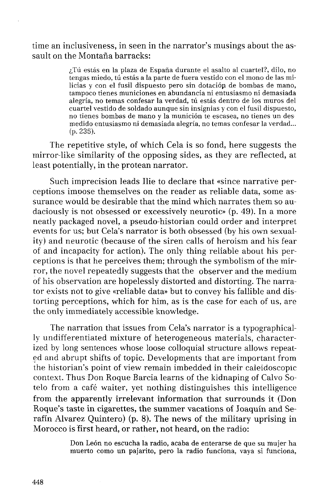time an inclusiveness, in seen in the narrator's musings about the assault on the Montaña barracks:

> ¿Tú estás en la plaza de España durante el asalto al cuartel?, dilo, no tengas miedo, tú estás a la parte de fuera vestido con el mono de las milicias y con el fusil dispuesto pero sin dotación de bombas de mano, tampoco tienes municiones en abundancia ni entusiasmo ni demasiada alegría, no temas confesar la verdad, tú estás dentro de los muros del cuartel vestido de soldado aunque sin insignias y con el fusil dispuesto, no tienes bombas de mano y la munición te escasea, no tienes un des medido entusiasmo ni demasiada alegría, no temas confesar la verdad... (p. 235).

The repetitive style, of which Cela is so fond, here suggests the mirror-like similarity of the opposing sides, as they are reflected, at least potentially, in the protean narrator.

Such imprecisión leads Ilie to declare that «since narrative perceptions imoose themselves on the reader as reliable data, some assurance would be desirable that the mind which narrates them so audaciously is not obsessed or excessively neurotic» (p. 49). In a more neatly packaged novel, a pseudo-historian could order and interpret events for us; but Cela's narrator is both obsessed (by his own sexuality) and neurotic (because of the siren calis of heroism and his fear of and incapacity for action). The only thing reliable about his perceptions is that he perceives them; through the symbolism of the mirror, the novel repeatedly suggests that the observer and the medium of his observation are hopelessly distorted and distorting. The narrator exists not to give «reliable data» but to convey his fallible and distorting perceptions, which for him, as is the case for each of us, are the only immediately accessible knowledge.

The narration that issues from Cela's narrator is a typographically undifferentiated mixture of heterogeneous materials, characterized by long sentences whose loose colloquial structure allows repeated and abrupt shifts of topic. Developments that are important from the historian's point of view remain imbedded in their caleidoscopio context. Thus Don Roque Barcia learns of the kidnaping of Calvo Sotelo from a café waiter, yet nothing distinguishes this intelligence from the apparently irrelevant information that surrounds it (Don Roque's taste in cigarettes, the summer vacations of Joaquín and Serafín Alvarez Quintero) (p. 8). The news of the military uprising in Morocco is first heard, or rather, not heard, on the radio:

> Don León no escucha la radio, acaba de enterarse de que su mujer ha muerto como un pajarito, pero la radio funciona, vaya si funciona,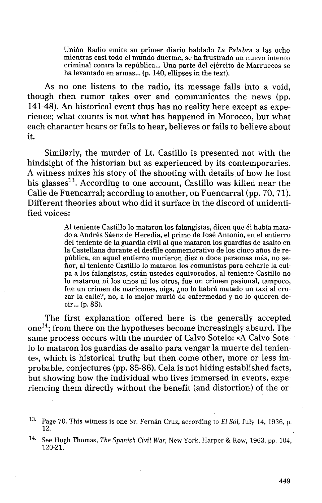Unión Radio emite su primer diario hablado *La Palabra* a las ocho mientras casi todo el mundo duerme, se ha frustrado un nuevo intento criminal contra la república... Una parte del ejército de Marruecos se ha levantado en armas... (p. 140, ellipses in the text).

As no one listens to the radio, its message falls into a void, though then rumor takes over and communicates the news (pp. 141-48). An historical event thus has no reality here except as experience; what counts is not what has happened in Morocco, but what each character hears or fails to hear, believes or fails to believe about it.

Similarly, the murder of Lt. Castillo is presented not with the hindsight of the historian but as experienced by its contemporaries. A witness mixes his story of the shooting with details of how he lost his glasses<sup>13</sup>. According to one account, Castillo was killed near the Calle de Fuencarral; according to another, on Fuencarral (pp. 70, 71). Different theories about who did it surface in the discord of unidentified voices:

> Al teniente Castillo lo mataron los falangistas, dicen que él había matado a Andrés Sáenz de Heredia, el primo de José Antonio, en el entierro del teniente de la guardia civil al que mataron los guardias de asalto en la Castellana durante el desfile conmemorativo de los cinco años de república, en aquel entierro murieron diez o doce personas más, no señor, al teniente Castillo lo mataron los comunistas para echarle la culpa a los falangistas, están ustedes equivocados, al teniente Castillo no lo mataron ni los unos ni los otros, fue un crimen pasional, tampoco, fue un crimen de maricones, oiga, ¿no lo habrá matado un taxi al cruzar la calle?, no, a lo mejor murió de enfermedad y no lo quieren decir... (p. 85).

The first explanation offered here is the generally accepted one<sup>14</sup>; from there on the hypotheses become increasingly absurd. The same process occurs with the murder of Calvo Sotelo: «A Calvo Sotelo lo mataron los guardias de asalto para vengar la muerte del teniente», which is historical truth; but then come other, more or less improbable, conjectures (pp. 85-86). Cela is not hiding established facts, but showing how the individual who lives immersed in events, experiencing them directly without the benefit (and distortion) of the or-

Page 70. This witness is one Sr. Fernán Cruz, according to *El Sol,* July 14, 1936, p. 12.

<sup>14.</sup> See Hugh Thomas, *The Spanish Civil War,* New York, Harper & Row, 1963, pp. 104, 120-21.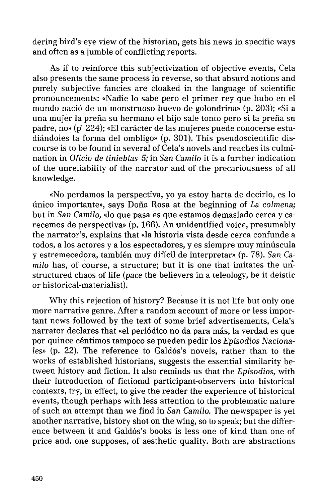dering bird's-eye view of the historian, gets his news in specific ways and often as a jumble of conflicting reports.

As if to reinforce this subjectivization of objective events, Cela also presents the same process in reverse, so that absurd notions and purely subjective fancies are cloaked in the language of scientific pronouncements: «Nadie lo sabe pero el primer rey que hubo en el mundo nació de un monstruoso huevo de golondrina» (p. 203); «Si a una mujer la preña su hermano el hijo sale tonto pero si la preña su padre, no» (p' 224); «El carácter de las mujeres puede conocerse estudiándoles la forma del ombligo» (p. 301). This pseudoscientific discourse is to be found in several of Cela's novels and reaches its culmination in *Oficio de tinieblas 5;* in San *Camilo* it is a further indication of the unreliability of the nárrator and of the precariousness of all knowledge.

«No perdamos la perspectiva, yo ya estoy harta de decirlo, es lo único importante», says Doña Rosa at the beginning of *La colmena;*  but in San *Camilo,* «lo que pasa es que estamos demasiado cerca y carecemos de perspectiva» (p. 166). An unidentified voice, presumably the narrator's, explains that «la historia vista desde cerca confunde a todos, a los actores y a los espectadores, y es siempre muy minúscula y estremecedora, también muy difícil de interpretar» (p. 78). San *Camilo* has, of course, a structure; but it is one that imitates the unstructured chaos of life (pace the believers in a teleology, be it deistic or historical-materialist).

Why this rejection of history? Because it is not life but only oné more narrative genre. After a random account of more or less important news followed by the text of some brief advertisements, Cela's narrator declares that «el periódico no da para más, la verdad es que por quince céntimos tampoco se pueden pedir los *Episodios Naciona*les» (p. 22). The reference to Galdós's novels, rather than to the works of established historians, suggests the essential similarity between history and fiction. It also reminds us that the *Episodios,* with their introduction of fictional participant-observers into historical contexts, try, in effect, to give the reader the experience of historical events, though perhaps with less attention to the problematic nature of such an attempt than we find in San *Camilo.* The newspaper is yet another narrative, history shot on the wing, so to speak; but the difference between it and Galdós's books is less one of kind than one of price and. one supposes, of aesthetic quality. Both are abstractions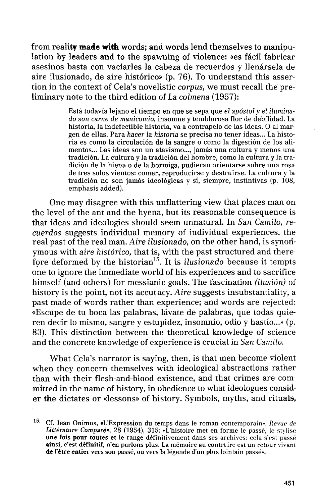from reality **maáe witk** words; and words lend themselves to manipulation by leaders and to the spawning of violence: «es fácil fabricar asesinos basta con vaciarles la cabeza de recuerdos y llenársela de aire ilusionado, de aire histórico» (p. 76). To understand this assertion in the context of Cela's novelistic *corpus,* we must recall the preliminary note to the third edition of La *colmena* (1957):

> Está todavía lejano el tiempo en que se sepa que *el apóstol* y *el iluminado son carne de manicomio,* insomne y temblorosa flor de debilidad. La historia, la indefectible historia, va a contrapelo de las ideas. O al margen de ellas. Para hacer *la historia* se precisa no tener ideas... La historia es como la circulación de la sangre o como la digestión de los alimentos... Las ideas son un atavismo..., jamás una cultura y menos una tradición. La cultura y la tradición del hombre, como la cultura y la tradición de la hiena o de la hormiga, pudieran orientarse sobre una rosa de tres solos vientos: comer, reproducirse y destruirse. La cultura y la tradición no son jamás ideológicas y sí, siempre, instintivas (p. 108, emphasis added).

One may disagree with this unflattering view that places man on the level of the ant and the hyena, but its reasonable consequence is that ideas and ideologies should seem unnatural. In San *Camilo, recuerdos* suggests individual memory of individual experiences, the real past of the real man. *Aire ilusionado,* on the other hand, is synoriymous with *aire histórico,* that is, with the past structured and therefore deformed by the historian<sup>15</sup>. It is *ilusionado* because it tempts one to ignore the immediate world of his experiences and to sacrifice himself (and others) for messianic goals. The fascination *(ilusión)* of history is the point, not its accutacy. *Aire* suggests insubstantiality, a past made of words rather than experience; and words are rejected: «Escupe de tu boca las palabras, lávate de palabras, que todas quieren decir lo mismo, sangre y estupidez, insomnio, odio y hastío...» (p. 83). This distinction between the theoretical knowledge of science and the concrete knowledge of experience is crucial in San *Camilo.* 

What Cela's narrator is saying, then, is that men become violent when they concern themselves with ideological abstractions rather than with their flesh-and-blood existence, and that crimes are committed in the name of history, in obedience to what ideologues consider the dictates or «lessons» of history. Symbols, myths, and rituals,

<sup>15.</sup> Cf. Jean Onimus, «L'Expression du temps dans le román contemporain», *Revue de Littérature Comparée,* 28 (1954), 315: «L'histoire met en forme le passé, le stylise une fois pour toutes et le range définitivement dans ses archives: cela s'est passé ainsi, c'est définitif, n'en parlons plus. La mémoire au contrtire est un retour vivant de l'étre entier vers son passé, ou vers la légende d'un plus lointain passé».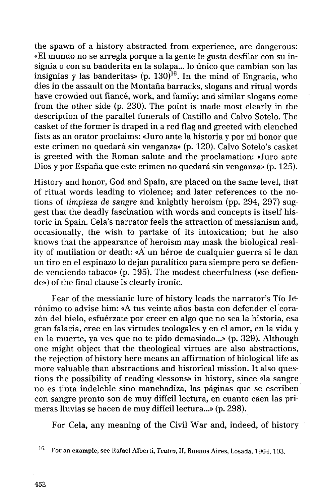the spawn of a history abstracted from experience, are dangerous: «El mundo no se arregla porque a la gente le gusta desfilar con su insignia o con su banderita en la solapa... lo único que cambian son las insignias y las banderitas» (p. 130)<sup>16</sup>. In the mind of Engracia, who dies in the assault on the Montaña barracks, slogans and ritual words have crowded out fiancé, work, and family; and similar slogans come from the other side (p. 230). The point is made most clearly in the description of the parallel funerals of Castillo and Calvo Sotelo. The casket of the former is draped in a red flag and greeted with clenched fists as an orator proclaims: «Juro ante la historia y por mi honor que este crimen no quedará sin venganza» (p. 120). Calvo Sotelo's casket is greeted with the Roman salute and the proclamation: «Juro ante Dios y por España que este crimen no quedará sin venganza» (p. 125).

History and honor, God and Spain, are placed on the same level, that of ritual words leading to violence; and later references to the notions of *limpieza de sangre* and knightly heroism (pp. 294, 297) suggest that the deadly fascination with words and concepts is itself historie in Spain. Cela's narrator feels the attraction of messianism and, occasionally, the wish to partake of its intoxication; but he also knows that the appearance of heroism may mask the biological reality of mutilation or death: «A un héroe de cualquier guerra si le dan un tiro en el espinazo lo dejan paralítico para siempre pero se defiende vendiendo tabaco» (p. 195). The modest cheerfulness («se defiende») of the final clause is clearly ironic.

Fear of the messianic lure of history leads the narrator's Tío Jerónimo to advise him: «A tus veinte años basta con defender el corazón del hielo, esfuérzate por creer en algo que no sea la historia, esa gran falacia, cree en las virtudes teologales y en el amor, en la vida y en la muerte, ya ves que no te pido demasiado...» (p. 329). Although one might object that the theological virtues are also abstractions, the rejection of history here means an affirmation of biological life as more valuable than abstractions and historical mission. It also questions the possibility of reading «lessons» in history, since «la sangre no es tinta indeleble sino manchadiza, las páginas que se escriben con sangre pronto son de muy difícil lectura, en cuanto caen las primeras lluvias se hacen de muy difícil lectura...» (p. 298).

For Cela, any meaning of the Civil War and, indeed, of history

<sup>16</sup> - For an example, see Rafael Alberti, *Teatro,* II, Buenos Aires, Losada, 1964, 103.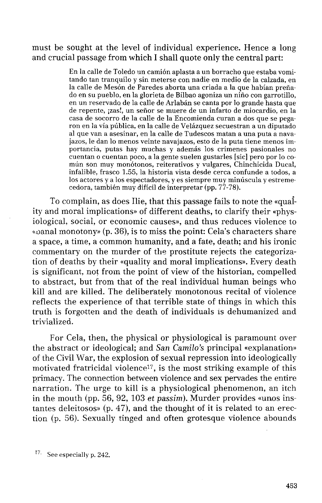must be sought at the level of individual experience. Hence a long and crucial passage from which I shall quote only the central part:

> En la calle de Toledo un camión aplasta a un borracho que estaba vomitando tan tranquilo y sin meterse con nadie en medio de la calzada, en la calle de Mesón de Paredes aborta una criada a la que habían preñado en su pueblo, en la glorieta de Bilbao agoniza un niño con garrotillo, en un reservado de la calle de Arlaban se canta por lo grande hasta que de repente, ¡zas!, un señor se muere de un infarto de miocardio, en la casa de socorro de la calle de la Encomienda curan a dos que se pegaron en la vía pública, en la calle de Velázquez secuestran a un diputado al que van a asesinar, en la calle de Tudescos matan a una puta a navajazos, le dan lo menos veinte navajazos, esto de la puta tiene menos importancia, putas hay muchas y además los crímenes pasionales no cuentan o cuentan poco, a la gente suelen gustarles [sic] pero por lo común son muy monótonos, reiterativos y vulgares, Chinchicida Ducal, infalible, frasco 1.55, la historia vista desde cerca confunde a todos, a los actores y a los espectadores, y es siempre muy minúscula y estremecedora, también muy difícil de interpretar (pp. 77-78).

To complain, as does Ilie, that this passage fails to note the «quaíity and moral implications» of different deaths, to clarify their «physiological, social, or economic causes», and thus reduces violence to «oanal monotony» (p. 36), is to miss the point: Cela's characters share a space, a time, a common humanity, and a fate, death; and his ironic commentary on the murder of the prostitute rejeets the categorization of deaths by their «quality and moral implications». Every death is significant, not from the point of view of the historian, compelled to abstract, but from that of the real individual human beings who kill and are killed. The deliberately monotonous recital of violence reflects the experience of that terrible state of things in which this truth is forgotten and the death of individuals is dehumanized and trivialized.

For Cela, then, the physical or physiological is paramount over the abstract or ideological; and San *Camilo's* principal «explanation» of the Civil War, the explosión of sexual repression into ideologically motivated fratricidal violence<sup>17</sup> , is the most striking example of this primacy. The connection between violence and sex pervades the entire narration. The urge to kill is a physiological phenomenon, an itch in the mouth (pp. 56, 92, 103 *et passim).* Murder provides «unos instantes deleitosos» (p. 47), and the thought of it is related to an erection (p. 56). Sexually tinged and often grotesque violence abounds

<sup>17.</sup> See especially p. 242.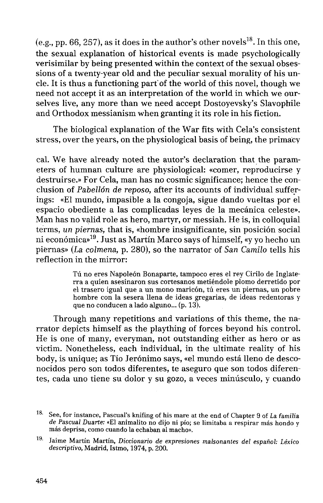(e.g., pp. 66, 257), as it does in the author's other novels $^{18}$ . In this one, the sexual explanation of historical events is made psychologically verisimilar by being presented within the context of the sexual obsessions of a twenty-year old and the peculiar sexual morality of his unele. It is thus a functioning part'of the world of this novel, though we need not accept it as an interpretation of the world in which we ourselves live, any more than we need accept Dostoyevsky's Slavophile and Orthodox messianism when granting it its role in his fiction.

The biological explanation of the War fits with Cela's consistent stress, over the years, on the physiological basis of being, the primacy

cal. We have already noted the autor's declaration that the parameters of humnan culture are physiological: «comer, reproducirse y destruirse.» For Cela, man has no cosmic significance; hence the conclusión of *Pabellón de reposo,* after its accounts of individual sufferings: «El mundo, impasible a la congoja, sigue dando vueltas por el espacio obediente a las complicadas leyes de la mecánica celeste». Man has no valid role as hero, martyr, or messiah. He is, in colloquial terms, *un piernas,* that is, «hombre insignificante, sin posición social ni económica»<sup>19</sup> . Just as Martín Marco says of himself, «y yo hecho un piernas» *(La colmena,* p. 280), so the narrator of San *Camilo* tells his reflection in the mirror:

> Tú no eres Napoleón Bonaparte, tampoco eres el rey Cirilo de Inglaterra a quien asesinaron sus cortesanos metiéndole plomo derretido por el trasero igual que a un mono maricón, tú eres un piernas, un pobre hombre con la sesera llena de ideas gregarias, de ideas redentoras y que no conducen a lado alguno... (p. 13).

Through many repetitions and variations of this theme, the narrator depiets himself as the plaything of forces beyond his control. He is one of many, everyman, not outstanding either as hero or as victim. Nonetheless, each individual, in the ultimate reality of his body, is unique; as Tío Jerónimo says, «el mundo está lleno de desconocidos pero son todos diferentes, te aseguro que son todos diferentes, cada uno tiene su dolor y su gozo, a veces minúsculo, y cuando

See, for instance, Pascual's knifing of his mare at the end of Chapter 9 of *La familia de Pascual Duarte:* «El animalito no dijo ni pío; se limitaba a respirar más hondo y más deprisa, como cuando la echaban al macho».

Jaime Martín Martín, *Diccionario de expresiones malsonantes del español: Léxico descriptivo,* Madrid, Istmo, 1974, p. 200.